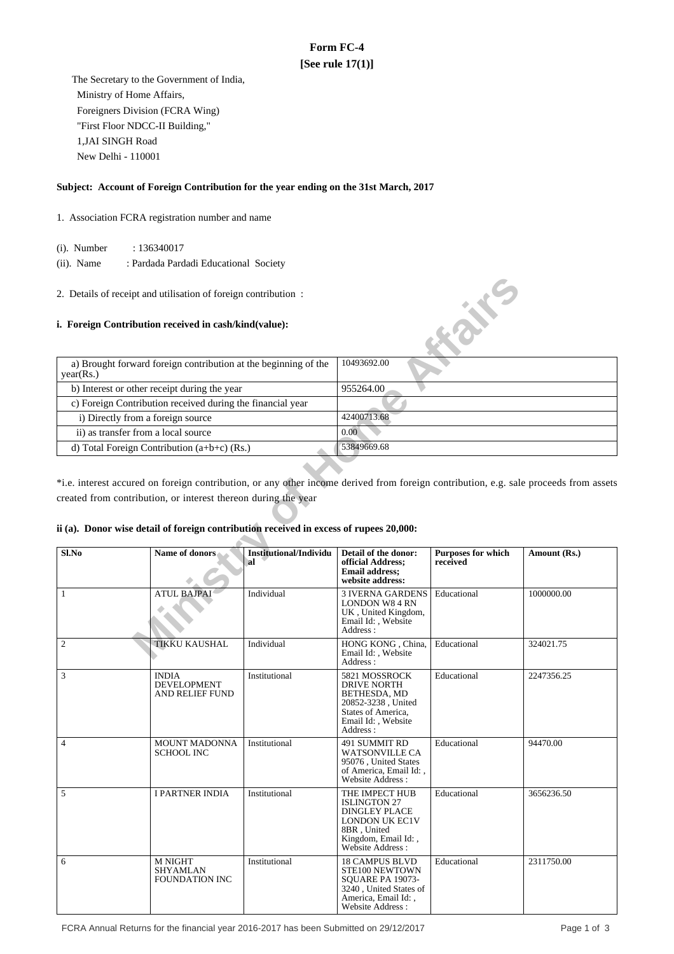# **Form FC-4 [See rule 17(1)]**

 The Secretary to the Government of India, Ministry of Home Affairs, Foreigners Division (FCRA Wing) "First Floor NDCC-II Building," 1,JAI SINGH Road New Delhi - 110001

#### **Subject: Account of Foreign Contribution for the year ending on the 31st March, 2017**

- 1. Association FCRA registration number and name
	- (i). Number : 136340017
	- (ii). Name : Pardada Pardadi Educational Society
- 2. Details of receipt and utilisation of foreign contribution :

## **i. Foreign Contribution received in cash/kind(value):**

| a) Brought forward foreign contribution at the beginning of the<br>year(Rs.) | 10493692.00 |
|------------------------------------------------------------------------------|-------------|
| b) Interest or other receipt during the year                                 | 955264.00   |
| c) Foreign Contribution received during the financial year                   |             |
| i) Directly from a foreign source                                            | 42400713.68 |
| ii) as transfer from a local source                                          | 0.00        |
| d) Total Foreign Contribution $(a+b+c)$ (Rs.)                                | 53849669.68 |

## **ii (a). Donor wise detail of foreign contribution received in excess of rupees 20,000:**

| 2. Details of receipt and utilisation of foreign contribution :                        |                                                            |                                            |                                                                                                                                           |                                |                                                                                                                                       |  |
|----------------------------------------------------------------------------------------|------------------------------------------------------------|--------------------------------------------|-------------------------------------------------------------------------------------------------------------------------------------------|--------------------------------|---------------------------------------------------------------------------------------------------------------------------------------|--|
| i. Foreign Contribution received in cash/kind(value):                                  |                                                            |                                            |                                                                                                                                           | <b>Kaike</b>                   |                                                                                                                                       |  |
| a) Brought forward foreign contribution at the beginning of the<br>year(Rs.)           |                                                            |                                            | 10493692.00                                                                                                                               |                                |                                                                                                                                       |  |
|                                                                                        | b) Interest or other receipt during the year               |                                            | 955264.00                                                                                                                                 |                                |                                                                                                                                       |  |
|                                                                                        | c) Foreign Contribution received during the financial year |                                            |                                                                                                                                           |                                |                                                                                                                                       |  |
| i) Directly from a foreign source                                                      |                                                            |                                            | 42400713.68                                                                                                                               |                                |                                                                                                                                       |  |
| ii) as transfer from a local source                                                    |                                                            |                                            | 0.00                                                                                                                                      |                                |                                                                                                                                       |  |
|                                                                                        | d) Total Foreign Contribution (a+b+c) (Rs.)                |                                            | 53849669.68                                                                                                                               |                                |                                                                                                                                       |  |
|                                                                                        |                                                            |                                            |                                                                                                                                           |                                |                                                                                                                                       |  |
|                                                                                        |                                                            |                                            |                                                                                                                                           |                                | *i.e. interest accured on foreign contribution, or any other income derived from foreign contribution, e.g. sale proceeds from assets |  |
| created from contribution, or interest thereon during the year                         |                                                            |                                            |                                                                                                                                           |                                |                                                                                                                                       |  |
|                                                                                        |                                                            |                                            |                                                                                                                                           |                                |                                                                                                                                       |  |
| ii (a). Donor wise detail of foreign contribution received in excess of rupees 20,000: |                                                            |                                            |                                                                                                                                           |                                |                                                                                                                                       |  |
|                                                                                        |                                                            |                                            |                                                                                                                                           |                                |                                                                                                                                       |  |
| Sl.No                                                                                  | Name of donors                                             | <b>Institutional/Individu</b><br><b>al</b> | Detail of the donor:<br>official Address;<br><b>Email address;</b><br>website address:                                                    | Purposes for which<br>received | Amount (Rs.)                                                                                                                          |  |
| 1                                                                                      | <b>ATUL BAJPAI</b>                                         | Individual                                 | <b>3 IVERNA GARDENS</b><br><b>LONDON W8 4 RN</b><br>UK, United Kingdom,<br>Email Id:, Website<br>Address:                                 | Educational                    | 1000000.00                                                                                                                            |  |
| $\sqrt{2}$                                                                             | <b>TIKKU KAUSHAL</b>                                       | Individual                                 | HONG KONG, China,<br>Email Id:, Website<br>Address:                                                                                       | Educational                    | 324021.75                                                                                                                             |  |
| 3                                                                                      | <b>INDIA</b><br>DEVELOPMENT<br><b>AND RELIEF FUND</b>      | Institutional                              | 5821 MOSSROCK<br>DRIVE NORTH<br>BETHESDA, MD<br>20852-3238, United<br>States of America,<br>Email Id:, Website<br>Address:                | Educational                    | 2247356.25                                                                                                                            |  |
| $\overline{4}$                                                                         | <b>MOUNT MADONNA</b><br><b>SCHOOL INC</b>                  | Institutional                              | 491 SUMMIT RD<br><b>WATSONVILLE CA</b><br>95076, United States<br>of America, Email Id:,<br>Website Address:                              | Educational                    | 94470.00                                                                                                                              |  |
| 5                                                                                      | <b>I PARTNER INDIA</b>                                     | Institutional                              | THE IMPECT HUB<br><b>ISLINGTON 27</b><br><b>DINGLEY PLACE</b><br>LONDON UK EC1V<br>8BR, United<br>Kingdom, Email Id:,<br>Website Address: | Educational                    | 3656236.50                                                                                                                            |  |
| 6                                                                                      | <b>M NIGHT</b><br>SHYAMLAN<br><b>FOUNDATION INC</b>        | Institutional                              | <b>18 CAMPUS BLVD</b><br>STE100 NEWTOWN<br>SQUARE PA 19073-<br>3240, United States of<br>America, Email Id:,<br>Website Address:          | Educational                    | 2311750.00                                                                                                                            |  |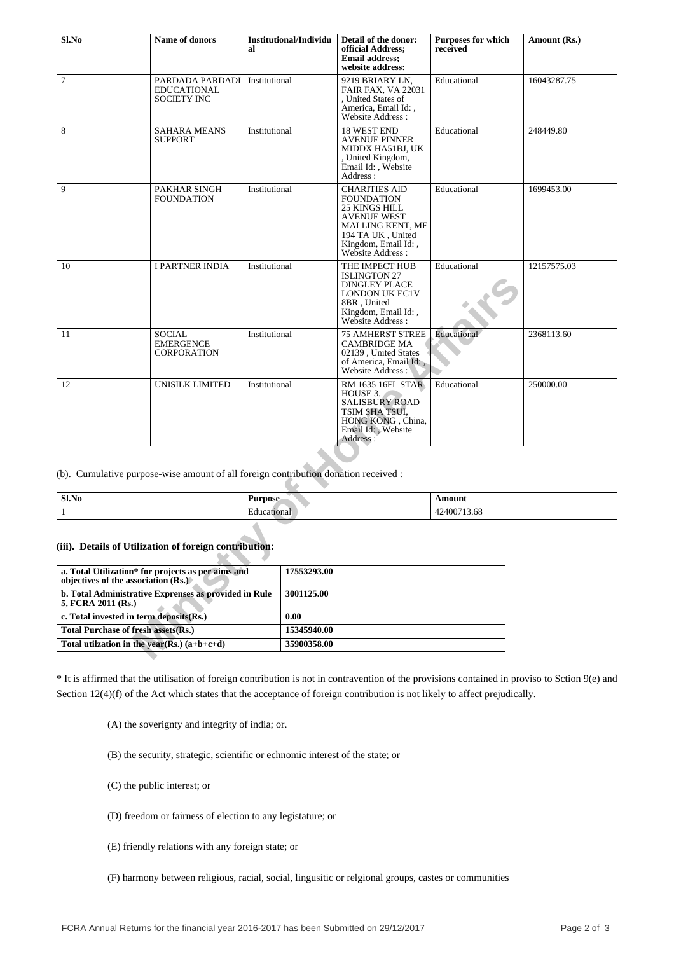| Sl.No                                                                                                    | <b>Name of donors</b>                                                               | <b>Institutional/Individu</b><br>al |             | Detail of the donor:<br>official Address;<br><b>Email address:</b><br>website address:                                                                                             | <b>Purposes for which</b><br>received | Amount (Rs.) |
|----------------------------------------------------------------------------------------------------------|-------------------------------------------------------------------------------------|-------------------------------------|-------------|------------------------------------------------------------------------------------------------------------------------------------------------------------------------------------|---------------------------------------|--------------|
| $\tau$                                                                                                   | PARDADA PARDADI<br><b>EDUCATIONAL</b><br><b>SOCIETY INC</b>                         | Institutional                       |             | 9219 BRIARY LN,<br><b>FAIR FAX, VA 22031</b><br>, United States of<br>America, Email Id:,<br>Website Address:                                                                      | Educational                           | 16043287.75  |
| 8                                                                                                        | <b>SAHARA MEANS</b><br><b>SUPPORT</b>                                               | Institutional                       |             | <b>18 WEST END</b><br><b>AVENUE PINNER</b><br>MIDDX HA51BJ, UK<br>, United Kingdom,<br>Email Id: , Website<br>Address:                                                             | Educational                           | 248449.80    |
| 9                                                                                                        | PAKHAR SINGH<br><b>FOUNDATION</b>                                                   | Institutional                       |             | <b>CHARITIES AID</b><br><b>FOUNDATION</b><br><b>25 KINGS HILL</b><br><b>AVENUE WEST</b><br><b>MALLING KENT, ME</b><br>194 TA UK, United<br>Kingdom, Email Id:,<br>Website Address: | Educational                           | 1699453.00   |
| 10                                                                                                       | <b>I PARTNER INDIA</b>                                                              | Institutional                       |             | THE IMPECT HUB<br><b>ISLINGTON 27</b><br><b>DINGLEY PLACE</b><br>LONDON UK EC1V<br>8BR, United<br>Kingdom, Email Id:,<br>Website Address:                                          | Educational                           | 12157575.03  |
| 11                                                                                                       | <b>SOCIAL</b><br><b>EMERGENCE</b><br><b>CORPORATION</b>                             | Institutional                       |             | <b>75 AMHERST STREE</b><br>CAMBRIDGE MA<br>02139, United States<br>of America, Email Id:,<br>Website Address:                                                                      | Educational                           | 2368113.60   |
| 12                                                                                                       | UNISILK LIMITED                                                                     | Institutional                       |             | RM 1635 16FL STAR<br>HOUSE 3.<br><b>SALISBURY ROAD</b><br>TSIM SHA TSUI,<br>HONG KONG, China,<br>Email Id: , Website<br>Address:                                                   | Educational                           | 250000.00    |
|                                                                                                          |                                                                                     |                                     |             |                                                                                                                                                                                    |                                       |              |
|                                                                                                          | (b). Cumulative purpose-wise amount of all foreign contribution donation received : |                                     |             |                                                                                                                                                                                    |                                       |              |
| $Sl$ .No<br><b>Purpose</b>                                                                               |                                                                                     |                                     |             |                                                                                                                                                                                    | Amount                                |              |
| Educational<br>42400713.68<br>$\mathbf{1}$                                                               |                                                                                     |                                     |             |                                                                                                                                                                                    |                                       |              |
| (iii). Details of Utilization of foreign contribution:                                                   |                                                                                     |                                     |             |                                                                                                                                                                                    |                                       |              |
| a. Total Utilization* for projects as per aims and<br>17553293.00<br>objectives of the association (Rs.) |                                                                                     |                                     |             |                                                                                                                                                                                    |                                       |              |
| b. Total Administrative Exprenses as provided in Rule<br>3001125.00<br>5, FCRA 2011 (Rs.)                |                                                                                     |                                     |             |                                                                                                                                                                                    |                                       |              |
| c. Total invested in term deposits(Rs.)                                                                  |                                                                                     |                                     | 0.00        |                                                                                                                                                                                    |                                       |              |
| <b>Total Purchase of fresh assets(Rs.)</b>                                                               |                                                                                     |                                     | 15345940.00 |                                                                                                                                                                                    |                                       |              |
| Total utilzation in the year(Rs.) $(a+b+c+d)$<br>35900358.00                                             |                                                                                     |                                     |             |                                                                                                                                                                                    |                                       |              |

| ' Sl.No | . .<br>Purpose | ৲moun.                             |
|---------|----------------|------------------------------------|
|         | ducational:    | $\epsilon$<br>.5.08<br>11 A<br>⊤∠− |

#### **(iii). Details of Utilization of foreign contribution:**

| a. Total Utilization* for projects as per aims and<br>objectives of the association (Rs.) | 17553293.00 |
|-------------------------------------------------------------------------------------------|-------------|
| b. Total Administrative Exprenses as provided in Rule<br>5, FCRA 2011 (Rs.)               | 3001125.00  |
| c. Total invested in term deposits(Rs.)                                                   | 0.00        |
| Total Purchase of fresh assets (Rs.)                                                      | 15345940.00 |
| Total utilization in the year $(Rs.)$ $(a+b+c+d)$                                         | 35900358.00 |

\* It is affirmed that the utilisation of foreign contribution is not in contravention of the provisions contained in proviso to Sction 9(e) and Section 12(4)(f) of the Act which states that the acceptance of foreign contribution is not likely to affect prejudically.

(A) the soverignty and integrity of india; or.

(B) the security, strategic, scientific or echnomic interest of the state; or

(C) the public interest; or

(D) freedom or fairness of election to any legistature; or

(E) friendly relations with any foreign state; or

(F) harmony between religious, racial, social, lingusitic or relgional groups, castes or communities